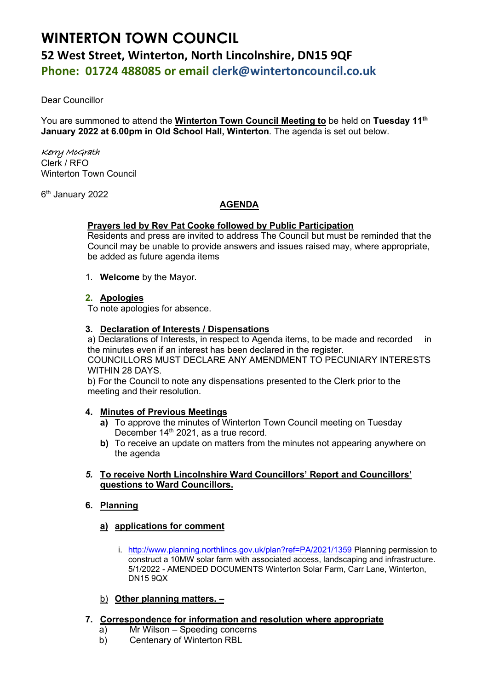# **WINTERTON TOWN COUNCIL 52 West Street, Winterton, North Lincolnshire, DN15 9QF Phone: 01724 488085 or email clerk@wintertoncouncil.co.uk**

Dear Councillor

You are summoned to attend the **Winterton Town Council Meeting to** be held on **Tuesday 11th January 2022 at 6.00pm in Old School Hall, Winterton**. The agenda is set out below.

# Kerry McGrath

Clerk / RFO Winterton Town Council

6 th January 2022

# **AGENDA**

# **Prayers led by Rev Pat Cooke followed by Public Participation**

Residents and press are invited to address The Council but must be reminded that the Council may be unable to provide answers and issues raised may, where appropriate, be added as future agenda items

1. **Welcome** by the Mayor.

# **2. Apologies**

To note apologies for absence.

#### **3. Declaration of Interests / Dispensations**

a) Declarations of Interests, in respect to Agenda items, to be made and recorded in the minutes even if an interest has been declared in the register. COUNCILLORS MUST DECLARE ANY AMENDMENT TO PECUNIARY INTERESTS WITHIN 28 DAYS.

b) For the Council to note any dispensations presented to the Clerk prior to the meeting and their resolution.

#### **4. Minutes of Previous Meetings**

- **a)** To approve the minutes of Winterton Town Council meeting on Tuesday December 14<sup>th</sup> 2021, as a true record.
- **b)** To receive an update on matters from the minutes not appearing anywhere on the agenda
- *5.* **To receive North Lincolnshire Ward Councillors' Report and Councillors' questions to Ward Councillors.**

#### **6. Planning**

#### **a) applications for comment**

i. <http://www.planning.northlincs.gov.uk/plan?ref=PA/2021/1359> Planning permission to construct a 10MW solar farm with associated access, landscaping and infrastructure. 5/1/2022 - AMENDED DOCUMENTS Winterton Solar Farm, Carr Lane, Winterton, DN15 9QX

#### b) **Other planning matters. –**

- **7. Correspondence for information and resolution where appropriate**
	- a) Mr Wilson Speeding concerns
	- b) Centenary of Winterton RBL